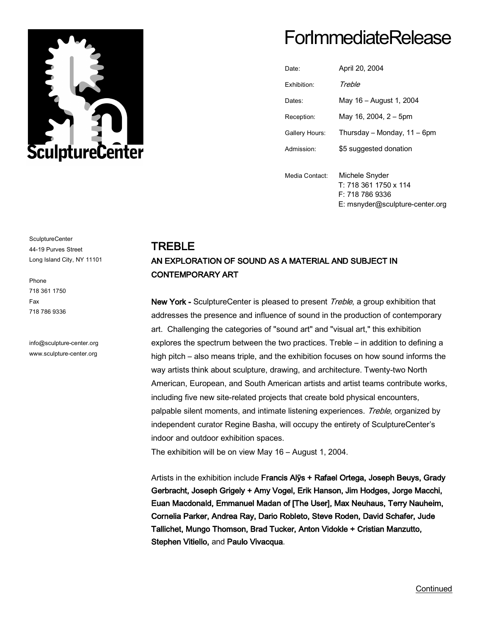

# **ForImmediateRelease**

| Date:          | April 20, 2004              |
|----------------|-----------------------------|
| Fxhibition:    | Treble                      |
| Dates:         | May 16 – August 1, 2004     |
| Reception:     | May 16, 2004, 2 – 5pm       |
| Gallery Hours: | Thursday – Monday, 11 – 6pm |
| Admission:     | \$5 suggested donation      |
|                |                             |

Media Contact: Michele Snyder T: 718 361 1750 x 114 F: 718 786 9336 E: msnyder@sculpture-center.org

### TREBLE AN EXPLORATION OF SOUND AS A MATERIAL AND SUBJECT IN CONTEMPORARY ART

New York - SculptureCenter is pleased to present Treble, a group exhibition that addresses the presence and influence of sound in the production of contemporary art. Challenging the categories of "sound art" and "visual art," this exhibition explores the spectrum between the two practices. Treble – in addition to defining a high pitch – also means triple, and the exhibition focuses on how sound informs the way artists think about sculpture, drawing, and architecture. Twenty-two North American, European, and South American artists and artist teams contribute works, including five new site-related projects that create bold physical encounters, palpable silent moments, and intimate listening experiences. Treble, organized by independent curator Regine Basha, will occupy the entirety of SculptureCenter's indoor and outdoor exhibition spaces.

The exhibition will be on view May 16 – August 1, 2004.

Artists in the exhibition include Francis Alÿs + Rafael Ortega, Joseph Beuys, Grady Gerbracht, Joseph Grigely + Amy Vogel, Erik Hanson, Jim Hodges, Jorge Macchi, Euan Macdonald, Emmanuel Madan of [The User], Max Neuhaus, Terry Nauheim, Cornelia Parker, Andrea Ray, Dario Robleto, Steve Roden, David Schafer, Jude Tallichet, Mungo Thomson, Brad Tucker, Anton Vidokle + Cristian Manzutto, Stephen Vitiello, and Paulo Vivacqua.

**SculptureCenter** 44-19 Purves Street Long Island City, NY 11101

Phone 718 361 1750 Fax 718 786 9336

info@sculpture-center.org www.sculpture-center.org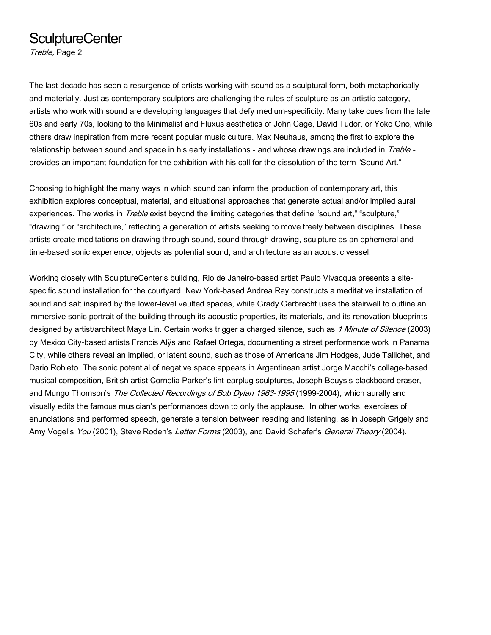## **SculptureCenter**

Treble, Page 2

The last decade has seen a resurgence of artists working with sound as a sculptural form, both metaphorically and materially. Just as contemporary sculptors are challenging the rules of sculpture as an artistic category, artists who work with sound are developing languages that defy medium-specificity. Many take cues from the late 60s and early 70s, looking to the Minimalist and Fluxus aesthetics of John Cage, David Tudor, or Yoko Ono, while others draw inspiration from more recent popular music culture. Max Neuhaus, among the first to explore the relationship between sound and space in his early installations - and whose drawings are included in Treble provides an important foundation for the exhibition with his call for the dissolution of the term "Sound Art."

Choosing to highlight the many ways in which sound can inform the production of contemporary art, this exhibition explores conceptual, material, and situational approaches that generate actual and/or implied aural experiences. The works in *Treble* exist beyond the limiting categories that define "sound art," "sculpture," "drawing," or "architecture," reflecting a generation of artists seeking to move freely between disciplines. These artists create meditations on drawing through sound, sound through drawing, sculpture as an ephemeral and time-based sonic experience, objects as potential sound, and architecture as an acoustic vessel.

Working closely with SculptureCenter's building, Rio de Janeiro-based artist Paulo Vivacqua presents a sitespecific sound installation for the courtyard. New York-based Andrea Ray constructs a meditative installation of sound and salt inspired by the lower-level vaulted spaces, while Grady Gerbracht uses the stairwell to outline an immersive sonic portrait of the building through its acoustic properties, its materials, and its renovation blueprints designed by artist/architect Maya Lin. Certain works trigger a charged silence, such as 1 Minute of Silence (2003) by Mexico City-based artists Francis Alÿs and Rafael Ortega, documenting a street performance work in Panama City, while others reveal an implied, or latent sound, such as those of Americans Jim Hodges, Jude Tallichet, and Dario Robleto. The sonic potential of negative space appears in Argentinean artist Jorge Macchi's collage-based musical composition, British artist Cornelia Parker's lint-earplug sculptures, Joseph Beuys's blackboard eraser, and Mungo Thomson's The Collected Recordings of Bob Dylan 1963-1995 (1999-2004), which aurally and visually edits the famous musician's performances down to only the applause. In other works, exercises of enunciations and performed speech, generate a tension between reading and listening, as in Joseph Grigely and Amy Vogel's You (2001), Steve Roden's Letter Forms (2003), and David Schafer's General Theory (2004).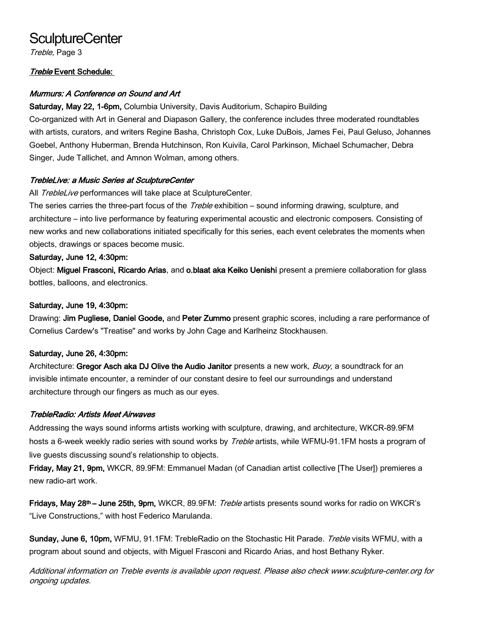## **SculptureCenter**

Treble, Page 3

#### Treble Event Schedule:

#### Murmurs: A Conference on Sound and Art

Saturday, May 22, 1-6pm, Columbia University, Davis Auditorium, Schapiro Building

Co-organized with Art in General and Diapason Gallery, the conference includes three moderated roundtables with artists, curators, and writers Regine Basha, Christoph Cox, Luke DuBois, James Fei, Paul Geluso, Johannes Goebel, Anthony Huberman, Brenda Hutchinson, Ron Kuivila, Carol Parkinson, Michael Schumacher, Debra Singer, Jude Tallichet, and Amnon Wolman, among others.

#### TrebleLive: a Music Series at SculptureCenter

All TrebleLive performances will take place at SculptureCenter.

The series carries the three-part focus of the *Treble* exhibition – sound informing drawing, sculpture, and architecture – into live performance by featuring experimental acoustic and electronic composers. Consisting of new works and new collaborations initiated specifically for this series, each event celebrates the moments when objects, drawings or spaces become music.

#### Saturday, June 12, 4:30pm:

Object: Miguel Frasconi, Ricardo Arias, and o.blaat aka Keiko Uenishi present a premiere collaboration for glass bottles, balloons, and electronics.

#### Saturday, June 19, 4:30pm:

Drawing: Jim Pugliese, Daniel Goode, and Peter Zummo present graphic scores, including a rare performance of Cornelius Cardew's "Treatise" and works by John Cage and Karlheinz Stockhausen.

#### Saturday, June 26, 4:30pm:

Architecture: Gregor Asch aka DJ Olive the Audio Janitor presents a new work, Buoy, a soundtrack for an invisible intimate encounter, a reminder of our constant desire to feel our surroundings and understand architecture through our fingers as much as our eyes.

#### TrebleRadio: Artists Meet Airwaves

Addressing the ways sound informs artists working with sculpture, drawing, and architecture, WKCR-89.9FM hosts a 6-week weekly radio series with sound works by *Treble* artists, while WFMU-91.1FM hosts a program of live guests discussing sound's relationship to objects.

Friday, May 21, 9pm, WKCR, 89.9FM: Emmanuel Madan (of Canadian artist collective [The User]) premieres a new radio-art work.

Fridays, May 28<sup>th</sup> – June 25th, 9pm, WKCR, 89.9FM: *Treble* artists presents sound works for radio on WKCR's "Live Constructions," with host Federico Marulanda.

Sunday, June 6, 10pm, WFMU, 91.1FM: TrebleRadio on the Stochastic Hit Parade. Treble visits WFMU, with a program about sound and objects, with Miguel Frasconi and Ricardo Arias, and host Bethany Ryker.

Additional information on Treble events is available upon request. Please also check www.sculpture-center.org for ongoing updates.